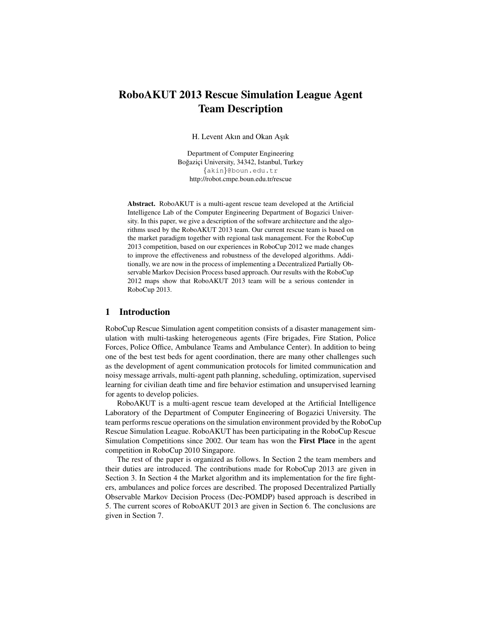# RoboAKUT 2013 Rescue Simulation League Agent Team Description

H. Levent Akın and Okan Aşık

Department of Computer Engineering Boğaziçi University, 34342, Istanbul, Turkey {akin}@boun.edu.tr http://robot.cmpe.boun.edu.tr/rescue

Abstract. RoboAKUT is a multi-agent rescue team developed at the Artificial Intelligence Lab of the Computer Engineering Department of Bogazici University. In this paper, we give a description of the software architecture and the algorithms used by the RoboAKUT 2013 team. Our current rescue team is based on the market paradigm together with regional task management. For the RoboCup 2013 competition, based on our experiences in RoboCup 2012 we made changes to improve the effectiveness and robustness of the developed algorithms. Additionally, we are now in the process of implementing a Decentralized Partially Observable Markov Decision Process based approach. Our results with the RoboCup 2012 maps show that RoboAKUT 2013 team will be a serious contender in RoboCup 2013.

#### 1 Introduction

RoboCup Rescue Simulation agent competition consists of a disaster management simulation with multi-tasking heterogeneous agents (Fire brigades, Fire Station, Police Forces, Police Office, Ambulance Teams and Ambulance Center). In addition to being one of the best test beds for agent coordination, there are many other challenges such as the development of agent communication protocols for limited communication and noisy message arrivals, multi-agent path planning, scheduling, optimization, supervised learning for civilian death time and fire behavior estimation and unsupervised learning for agents to develop policies.

RoboAKUT is a multi-agent rescue team developed at the Artificial Intelligence Laboratory of the Department of Computer Engineering of Bogazici University. The team performs rescue operations on the simulation environment provided by the RoboCup Rescue Simulation League. RoboAKUT has been participating in the RoboCup Rescue Simulation Competitions since 2002. Our team has won the First Place in the agent competition in RoboCup 2010 Singapore.

The rest of the paper is organized as follows. In Section 2 the team members and their duties are introduced. The contributions made for RoboCup 2013 are given in Section 3. In Section 4 the Market algorithm and its implementation for the fire fighters, ambulances and police forces are described. The proposed Decentralized Partially Observable Markov Decision Process (Dec-POMDP) based approach is described in 5. The current scores of RoboAKUT 2013 are given in Section 6. The conclusions are given in Section 7.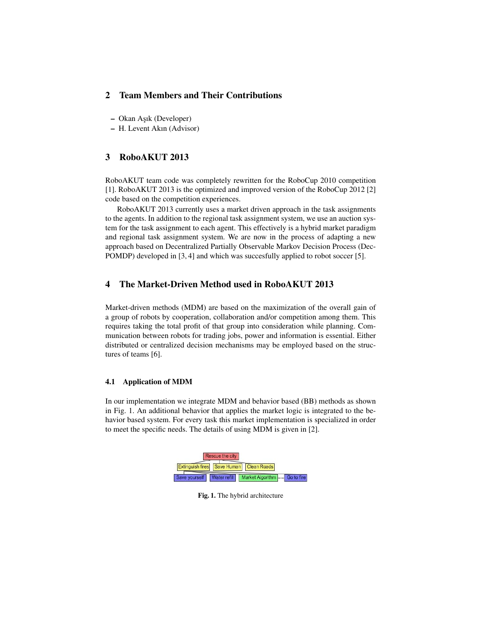# 2 Team Members and Their Contributions

- Okan As¸ık (Developer)
- H. Levent Akın (Advisor)

## 3 RoboAKUT 2013

RoboAKUT team code was completely rewritten for the RoboCup 2010 competition [1]. RoboAKUT 2013 is the optimized and improved version of the RoboCup 2012 [2] code based on the competition experiences.

RoboAKUT 2013 currently uses a market driven approach in the task assignments to the agents. In addition to the regional task assignment system, we use an auction system for the task assignment to each agent. This effectively is a hybrid market paradigm and regional task assignment system. We are now in the process of adapting a new approach based on Decentralized Partially Observable Markov Decision Process (Dec-POMDP) developed in [3, 4] and which was succesfully applied to robot soccer [5].

# 4 The Market-Driven Method used in RoboAKUT 2013

Market-driven methods (MDM) are based on the maximization of the overall gain of a group of robots by cooperation, collaboration and/or competition among them. This requires taking the total profit of that group into consideration while planning. Communication between robots for trading jobs, power and information is essential. Either distributed or centralized decision mechanisms may be employed based on the structures of teams [6].

## 4.1 Application of MDM

In our implementation we integrate MDM and behavior based (BB) methods as shown in Fig. 1. An additional behavior that applies the market logic is integrated to the behavior based system. For every task this market implementation is specialized in order to meet the specific needs. The details of using MDM is given in [2].



Fig. 1. The hybrid architecture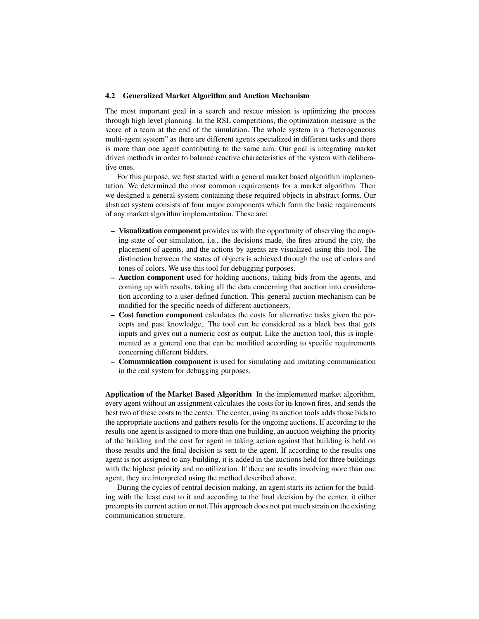#### 4.2 Generalized Market Algorithm and Auction Mechanism

The most important goal in a search and rescue mission is optimizing the process through high level planning. In the RSL competitions, the optimization measure is the score of a team at the end of the simulation. The whole system is a "heterogeneous multi-agent system" as there are different agents specialized in different tasks and there is more than one agent contributing to the same aim. Our goal is integrating market driven methods in order to balance reactive characteristics of the system with deliberative ones.

For this purpose, we first started with a general market based algorithm implementation. We determined the most common requirements for a market algorithm. Then we designed a general system containing these required objects in abstract forms. Our abstract system consists of four major components which form the basic requirements of any market algorithm implementation. These are:

- Visualization component provides us with the opportunity of observing the ongoing state of our simulation, i.e., the decisions made, the fires around the city, the placement of agents, and the actions by agents are visualized using this tool. The distinction between the states of objects is achieved through the use of colors and tones of colors. We use this tool for debugging purposes.
- Auction component used for holding auctions, taking bids from the agents, and coming up with results, taking all the data concerning that auction into consideration according to a user-defined function. This general auction mechanism can be modified for the specific needs of different auctioneers.
- Cost function component calculates the costs for alternative tasks given the percepts and past knowledge,. The tool can be considered as a black box that gets inputs and gives out a numeric cost as output. Like the auction tool, this is implemented as a general one that can be modified according to specific requirements concerning different bidders.
- Communication component is used for simulating and imitating communication in the real system for debugging purposes.

Application of the Market Based Algorithm In the implemented market algorithm, every agent without an assignment calculates the costs for its known fires, and sends the best two of these costs to the center. The center, using its auction tools adds those bids to the appropriate auctions and gathers results for the ongoing auctions. If according to the results one agent is assigned to more than one building, an auction weighing the priority of the building and the cost for agent in taking action against that building is held on those results and the final decision is sent to the agent. If according to the results one agent is not assigned to any building, it is added in the auctions held for three buildings with the highest priority and no utilization. If there are results involving more than one agent, they are interpreted using the method described above.

During the cycles of central decision making, an agent starts its action for the building with the least cost to it and according to the final decision by the center, it either preempts its current action or not.This approach does not put much strain on the existing communication structure.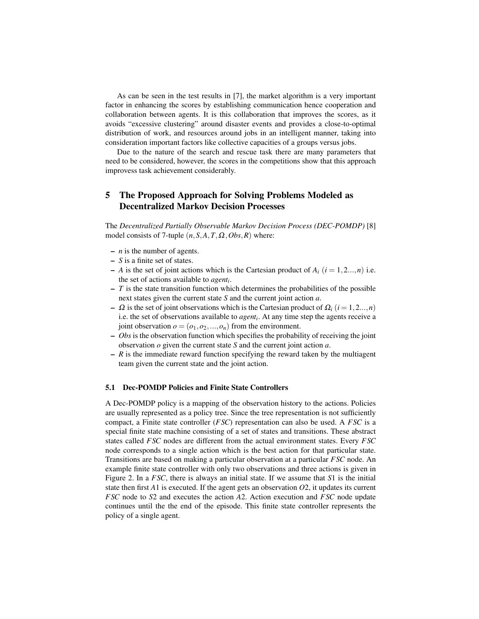As can be seen in the test results in [7], the market algorithm is a very important factor in enhancing the scores by establishing communication hence cooperation and collaboration between agents. It is this collaboration that improves the scores, as it avoids "excessive clustering" around disaster events and provides a close-to-optimal distribution of work, and resources around jobs in an intelligent manner, taking into consideration important factors like collective capacities of a groups versus jobs.

Due to the nature of the search and rescue task there are many parameters that need to be considered, however, the scores in the competitions show that this approach improvess task achievement considerably.

# 5 The Proposed Approach for Solving Problems Modeled as Decentralized Markov Decision Processes

The *Decentralized Partially Observable Markov Decision Process (DEC-POMDP)* [8] model consists of 7-tuple  $(n, S, A, T, \Omega, Obs, R)$  where:

- *n* is the number of agents.
- *S* is a finite set of states.
- $-$  *A* is the set of joint actions which is the Cartesian product of  $A_i$  ( $i = 1, 2..., n$ ) i.e. the set of actions available to *agent<sup>i</sup>* .
- $-$  *T* is the state transition function which determines the probabilities of the possible next states given the current state *S* and the current joint action *a*.
- $\Omega$  is the set of joint observations which is the Cartesian product of  $\Omega$ <sub>i</sub> (*i* = 1,2...,*n*) i.e. the set of observations available to *agent<sup>i</sup>* . At any time step the agents receive a joint observation  $o = (o_1, o_2, ..., o_n)$  from the environment.
- *Obs* is the observation function which specifies the probability of receiving the joint observation *o* given the current state *S* and the current joint action *a*.
- $R$  is the immediate reward function specifying the reward taken by the multiagent team given the current state and the joint action.

## 5.1 Dec-POMDP Policies and Finite State Controllers

A Dec-POMDP policy is a mapping of the observation history to the actions. Policies are usually represented as a policy tree. Since the tree representation is not sufficiently compact, a Finite state controller (*FSC*) representation can also be used. A *FSC* is a special finite state machine consisting of a set of states and transitions. These abstract states called *FSC* nodes are different from the actual environment states. Every *FSC* node corresponds to a single action which is the best action for that particular state. Transitions are based on making a particular observation at a particular *FSC* node. An example finite state controller with only two observations and three actions is given in Figure 2. In a *FSC*, there is always an initial state. If we assume that *S*1 is the initial state then first  $A1$  is executed. If the agent gets an observation  $O2$ , it updates its current *FSC* node to *S*2 and executes the action *A*2. Action execution and *FSC* node update continues until the the end of the episode. This finite state controller represents the policy of a single agent.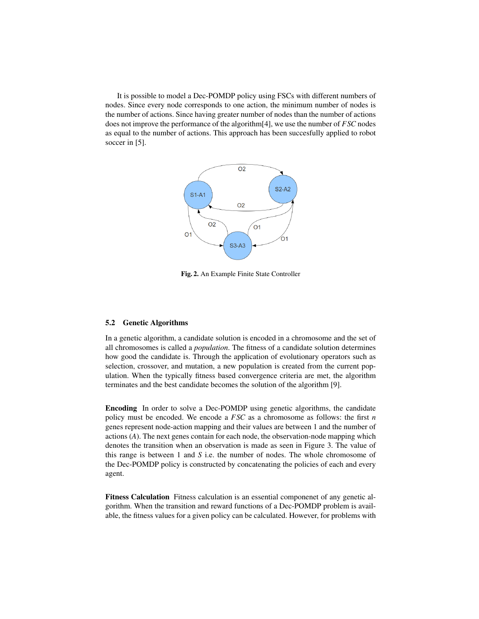It is possible to model a Dec-POMDP policy using FSCs with different numbers of nodes. Since every node corresponds to one action, the minimum number of nodes is the number of actions. Since having greater number of nodes than the number of actions does not improve the performance of the algorithm[4], we use the number of *FSC* nodes as equal to the number of actions. This approach has been succesfully applied to robot soccer in [5].



Fig. 2. An Example Finite State Controller

#### 5.2 Genetic Algorithms

In a genetic algorithm, a candidate solution is encoded in a chromosome and the set of all chromosomes is called a *population*. The fitness of a candidate solution determines how good the candidate is. Through the application of evolutionary operators such as selection, crossover, and mutation, a new population is created from the current population. When the typically fitness based convergence criteria are met, the algorithm terminates and the best candidate becomes the solution of the algorithm [9].

Encoding In order to solve a Dec-POMDP using genetic algorithms, the candidate policy must be encoded. We encode a *FSC* as a chromosome as follows: the first *n* genes represent node-action mapping and their values are between 1 and the number of actions (*A*). The next genes contain for each node, the observation-node mapping which denotes the transition when an observation is made as seen in Figure 3. The value of this range is between 1 and *S* i.e. the number of nodes. The whole chromosome of the Dec-POMDP policy is constructed by concatenating the policies of each and every agent.

Fitness Calculation Fitness calculation is an essential componenet of any genetic algorithm. When the transition and reward functions of a Dec-POMDP problem is available, the fitness values for a given policy can be calculated. However, for problems with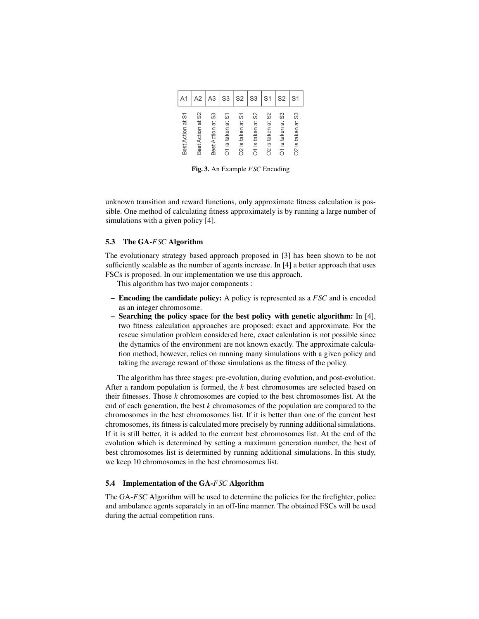|                   | A2                    | A3                | S <sub>3</sub>      | S <sub>2</sub>                   | S <sub>3</sub>                 | S <sub>1</sub>                | S <sub>2</sub>               | S <sub>1</sub>                |
|-------------------|-----------------------|-------------------|---------------------|----------------------------------|--------------------------------|-------------------------------|------------------------------|-------------------------------|
| Best Action at S1 | တ္တ<br>Best Action at | Best Action at S3 | is taken at S1<br>δ | taken at S1<br><u>(v)</u><br>റ്റ | တ္တ<br>ã<br>taken<br><u>(0</u> | taken at S2<br><u>.ഗ</u><br>႙ | taken at S3<br><u>ဖ</u><br>ă | taken at S3<br><u>.ഗ</u><br>õ |

Fig. 3. An Example *FSC* Encoding

unknown transition and reward functions, only approximate fitness calculation is possible. One method of calculating fitness approximately is by running a large number of simulations with a given policy [4].

#### 5.3 The GA-*FSC* Algorithm

The evolutionary strategy based approach proposed in [3] has been shown to be not sufficiently scalable as the number of agents increase. In [4] a better approach that uses FSCs is proposed. In our implementation we use this approach.

This algorithm has two major components :

- Encoding the candidate policy: A policy is represented as a *FSC* and is encoded as an integer chromosome.
- Searching the policy space for the best policy with genetic algorithm: In [4], two fitness calculation approaches are proposed: exact and approximate. For the rescue simulation problem considered here, exact calculation is not possible since the dynamics of the environment are not known exactly. The approximate calculation method, however, relies on running many simulations with a given policy and taking the average reward of those simulations as the fitness of the policy.

The algorithm has three stages: pre-evolution, during evolution, and post-evolution. After a random population is formed, the *k* best chromosomes are selected based on their fitnesses. Those *k* chromosomes are copied to the best chromosomes list. At the end of each generation, the best *k* chromosomes of the population are compared to the chromosomes in the best chromosomes list. If it is better than one of the current best chromosomes, its fitness is calculated more precisely by running additional simulations. If it is still better, it is added to the current best chromosomes list. At the end of the evolution which is determined by setting a maximum generation number, the best of best chromosomes list is determined by running additional simulations. In this study, we keep 10 chromosomes in the best chromosomes list.

#### 5.4 Implementation of the GA-*FSC* Algorithm

The GA-*FSC* Algorithm will be used to determine the policies for the firefighter, police and ambulance agents separately in an off-line manner. The obtained FSCs will be used during the actual competition runs.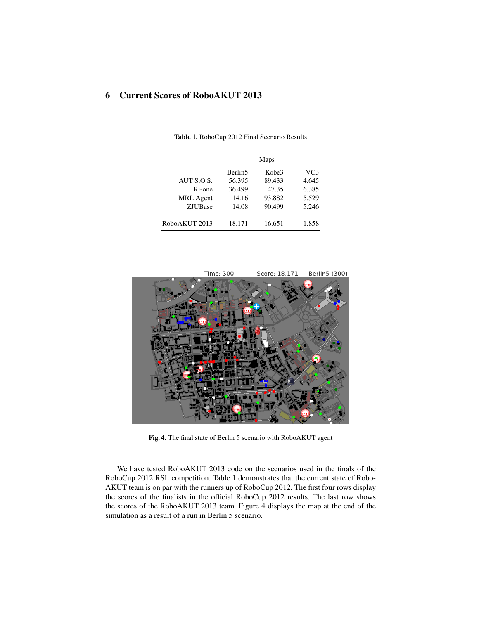# 6 Current Scores of RoboAKUT 2013

|                     | Maps                |        |                 |  |  |
|---------------------|---------------------|--------|-----------------|--|--|
|                     | Berlin <sub>5</sub> | Kobe3  | VC <sub>3</sub> |  |  |
| AUT S.O.S.          | 56.395              | 89.433 | 4.645           |  |  |
| R <sub>i</sub> -one | 36.499              | 47.35  | 6.385           |  |  |
| <b>MRL</b> Agent    | 14.16               | 93.882 | 5.529           |  |  |
| <b>ZJUBase</b>      | 14.08               | 90.499 | 5.246           |  |  |
| RoboAKUT 2013       | 18.171              | 16.651 | 1.858           |  |  |

Table 1. RoboCup 2012 Final Scenario Results



Fig. 4. The final state of Berlin 5 scenario with RoboAKUT agent

We have tested RoboAKUT 2013 code on the scenarios used in the finals of the RoboCup 2012 RSL competition. Table 1 demonstrates that the current state of Robo-AKUT team is on par with the runners up of RoboCup 2012. The first four rows display the scores of the finalists in the official RoboCup 2012 results. The last row shows the scores of the RoboAKUT 2013 team. Figure 4 displays the map at the end of the simulation as a result of a run in Berlin 5 scenario.